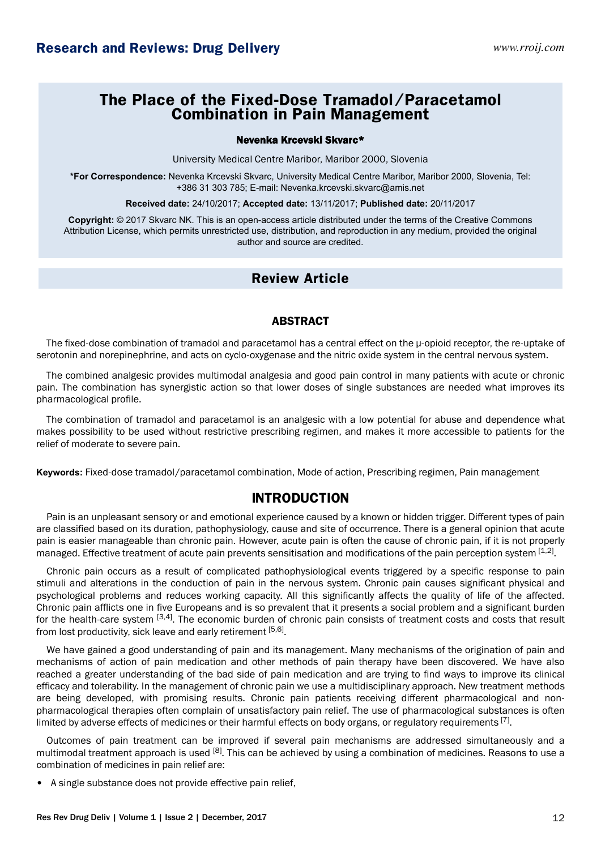# **The Place of the Fixed-Dose Tramadol/Paracetamol Combination in Pain Management**

#### Nevenka Krcevski Skvarc\*

University Medical Centre Maribor, Maribor 2000, Slovenia

**\*For Correspondence:** Nevenka Krcevski Skvarc, University Medical Centre Maribor, Maribor 2000, Slovenia, Tel: +386 31 303 785; E-mail: Nevenka.krcevski.skvarc@amis.net

**Received date:** 24/10/2017; **Accepted date:** 13/11/2017; **Published date:** 20/11/2017

**Copyright:** © 2017 Skvarc NK. This is an open-access article distributed under the terms of the Creative Commons Attribution License, which permits unrestricted use, distribution, and reproduction in any medium, provided the original author and source are credited.

## **Review Article**

#### ABSTRACT

The fixed-dose combination of tramadol and paracetamol has a central effect on the µ-opioid receptor, the re-uptake of serotonin and norepinephrine, and acts on cyclo-oxygenase and the nitric oxide system in the central nervous system.

The combined analgesic provides multimodal analgesia and good pain control in many patients with acute or chronic pain. The combination has synergistic action so that lower doses of single substances are needed what improves its pharmacological profile.

The combination of tramadol and paracetamol is an analgesic with a low potential for abuse and dependence what makes possibility to be used without restrictive prescribing regimen, and makes it more accessible to patients for the relief of moderate to severe pain.

**Keywords:** Fixed-dose tramadol/paracetamol combination, Mode of action, Prescribing regimen, Pain management

## **INTRODUCTION**

Pain is an unpleasant sensory or and emotional experience caused by a known or hidden trigger. Different types of pain are classified based on its duration, pathophysiology, cause and site of occurrence. There is a general opinion that acute pain is easier manageable than chronic pain. However, acute pain is often the cause of chronic pain, if it is not properly managed. Effective treatment of acute pain prevents sensitisation and modifications of the pain perception system [1,2].

Chronic pain occurs as a result of complicated pathophysiological events triggered by a specific response to pain stimuli and alterations in the conduction of pain in the nervous system. Chronic pain causes significant physical and psychological problems and reduces working capacity. All this significantly affects the quality of life of the affected. Chronic pain afflicts one in five Europeans and is so prevalent that it presents a social problem and a significant burden for the health-care system [3,4]. The economic burden of chronic pain consists of treatment costs and costs that result from lost productivity, sick leave and early retirement [5,6]<sub>.</sub>

We have gained a good understanding of pain and its management. Many mechanisms of the origination of pain and mechanisms of action of pain medication and other methods of pain therapy have been discovered. We have also reached a greater understanding of the bad side of pain medication and are trying to find ways to improve its clinical efficacy and tolerability. In the management of chronic pain we use a multidisciplinary approach. New treatment methods are being developed, with promising results. Chronic pain patients receiving different pharmacological and nonpharmacological therapies often complain of unsatisfactory pain relief. The use of pharmacological substances is often limited by adverse effects of medicines or their harmful effects on body organs, or regulatory requirements  $^{[7]}$ .

Outcomes of pain treatment can be improved if several pain mechanisms are addressed simultaneously and a multimodal treatment approach is used <sup>[8]</sup>. This can be achieved by using a combination of medicines. Reasons to use a combination of medicines in pain relief are:

• A single substance does not provide effective pain relief,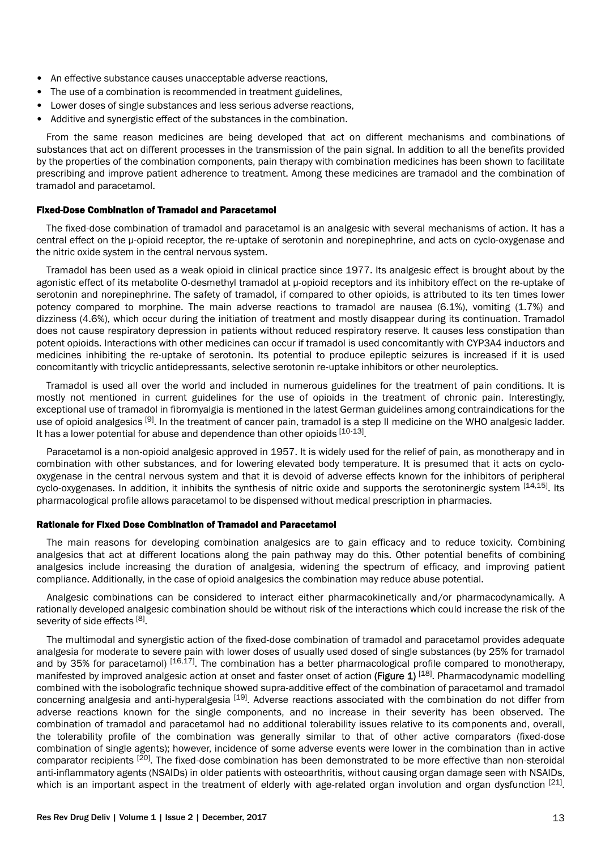- An effective substance causes unacceptable adverse reactions,
- The use of a combination is recommended in treatment guidelines,
- Lower doses of single substances and less serious adverse reactions,
- Additive and synergistic effect of the substances in the combination.

From the same reason medicines are being developed that act on different mechanisms and combinations of substances that act on different processes in the transmission of the pain signal. In addition to all the benefits provided by the properties of the combination components, pain therapy with combination medicines has been shown to facilitate prescribing and improve patient adherence to treatment. Among these medicines are tramadol and the combination of tramadol and paracetamol.

#### Fixed-Dose Combination of Tramadol and Paracetamol

The fixed-dose combination of tramadol and paracetamol is an analgesic with several mechanisms of action. It has a central effect on the µ-opioid receptor, the re-uptake of serotonin and norepinephrine, and acts on cyclo-oxygenase and the nitric oxide system in the central nervous system.

Tramadol has been used as a weak opioid in clinical practice since 1977. Its analgesic effect is brought about by the agonistic effect of its metabolite O-desmethyl tramadol at µ-opioid receptors and its inhibitory effect on the re-uptake of serotonin and norepinephrine. The safety of tramadol, if compared to other opioids, is attributed to its ten times lower potency compared to morphine. The main adverse reactions to tramadol are nausea (6.1%), vomiting (1.7%) and dizziness (4.6%), which occur during the initiation of treatment and mostly disappear during its continuation. Tramadol does not cause respiratory depression in patients without reduced respiratory reserve. It causes less constipation than potent opioids. Interactions with other medicines can occur if tramadol is used concomitantly with CYP3A4 inductors and medicines inhibiting the re-uptake of serotonin. Its potential to produce epileptic seizures is increased if it is used concomitantly with tricyclic antidepressants, selective serotonin re-uptake inhibitors or other neuroleptics.

Tramadol is used all over the world and included in numerous guidelines for the treatment of pain conditions. It is mostly not mentioned in current guidelines for the use of opioids in the treatment of chronic pain. Interestingly, exceptional use of tramadol in fibromyalgia is mentioned in the latest German guidelines among contraindications for the use of opioid analgesics  $[9]$ . In the treatment of cancer pain, tramadol is a step II medicine on the WHO analgesic ladder. It has a lower potential for abuse and dependence than other opioids [10-13].

Paracetamol is a non-opioid analgesic approved in 1957. It is widely used for the relief of pain, as monotherapy and in combination with other substances, and for lowering elevated body temperature. It is presumed that it acts on cyclooxygenase in the central nervous system and that it is devoid of adverse effects known for the inhibitors of peripheral cyclo-oxygenases. In addition, it inhibits the synthesis of nitric oxide and supports the serotoninergic system [14,15]. Its pharmacological profile allows paracetamol to be dispensed without medical prescription in pharmacies.

#### Rationale for Fixed Dose Combination of Tramadol and Paracetamol

The main reasons for developing combination analgesics are to gain efficacy and to reduce toxicity. Combining analgesics that act at different locations along the pain pathway may do this. Other potential benefits of combining analgesics include increasing the duration of analgesia, widening the spectrum of efficacy, and improving patient compliance. Additionally, in the case of opioid analgesics the combination may reduce abuse potential.

Analgesic combinations can be considered to interact either pharmacokinetically and/or pharmacodynamically. A rationally developed analgesic combination should be without risk of the interactions which could increase the risk of the severity of side effects [8].

The multimodal and synergistic action of the fixed-dose combination of tramadol and paracetamol provides adequate analgesia for moderate to severe pain with lower doses of usually used dosed of single substances (by 25% for tramadol and by 35% for paracetamol) [16,17]. The combination has a better pharmacological profile compared to monotherapy, manifested by improved analgesic action at onset and faster onset of action (Figure 1) [18]. Pharmacodynamic modelling combined with the isobolografic technique showed supra-additive effect of the combination of paracetamol and tramadol concerning analgesia and anti-hyperalgesia [19]. Adverse reactions associated with the combination do not differ from adverse reactions known for the single components, and no increase in their severity has been observed. The combination of tramadol and paracetamol had no additional tolerability issues relative to its components and, overall, the tolerability profile of the combination was generally similar to that of other active comparators (fixed-dose combination of single agents); however, incidence of some adverse events were lower in the combination than in active comparator recipients [20]. The fixed-dose combination has been demonstrated to be more effective than non-steroidal anti-inflammatory agents (NSAIDs) in older patients with osteoarthritis, without causing organ damage seen with NSAIDs, which is an important aspect in the treatment of elderly with age-related organ involution and organ dysfunction <sup>[21]</sup>.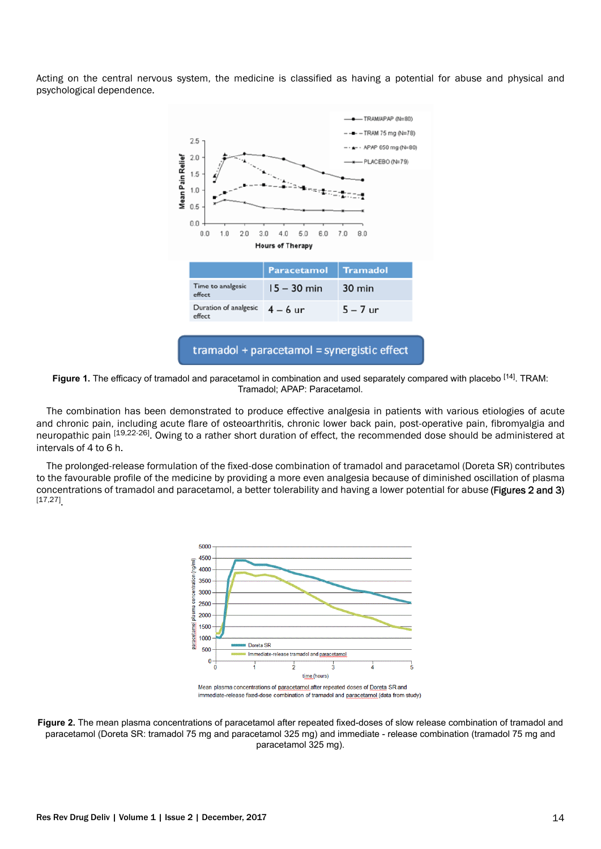Acting on the central nervous system, the medicine is classified as having a potential for abuse and physical and psychological dependence.



**Figure 1.** The efficacy of tramadol and paracetamol in combination and used separately compared with placebo [14]. TRAM: Tramadol; APAP: Paracetamol.

The combination has been demonstrated to produce effective analgesia in patients with various etiologies of acute and chronic pain, including acute flare of osteoarthritis, chronic lower back pain, post-operative pain, fibromyalgia and neuropathic pain [19,22-26]. Owing to a rather short duration of effect, the recommended dose should be administered at intervals of 4 to 6 h.

The prolonged-release formulation of the fixed-dose combination of tramadol and paracetamol (Doreta SR) contributes to the favourable profile of the medicine by providing a more even analgesia because of diminished oscillation of plasma concentrations of tramadol and paracetamol, a better tolerability and having a lower potential for abuse (Figures 2 and 3) [17,27] .



immediate-release fixed-dose combination of tramadol and paracetamol (data from study)

**Figure 2.** The mean plasma concentrations of paracetamol after repeated fixed-doses of slow release combination of tramadol and paracetamol (Doreta SR: tramadol 75 mg and paracetamol 325 mg) and immediate - release combination (tramadol 75 mg and paracetamol 325 mg).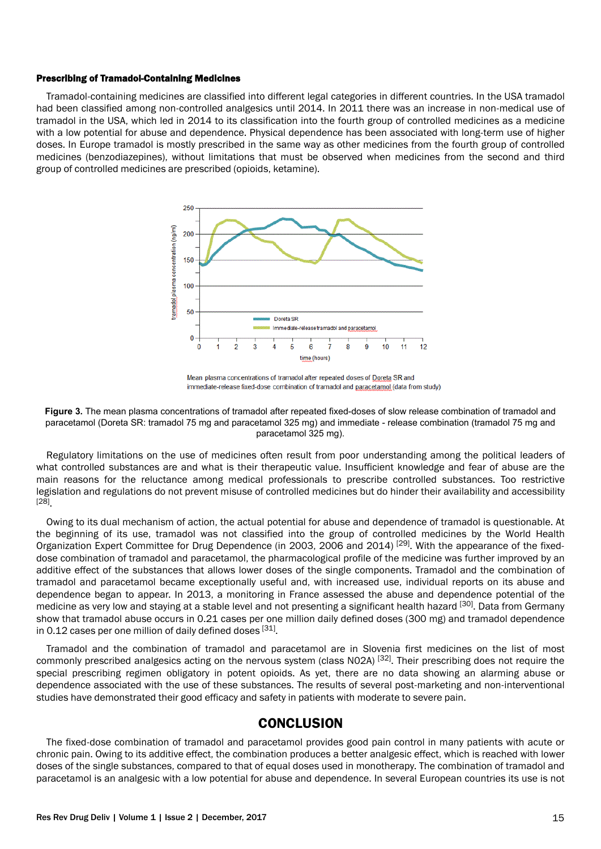#### Prescribing of Tramadol-Containing Medicines

Tramadol-containing medicines are classified into different legal categories in different countries. In the USA tramadol had been classified among non-controlled analgesics until 2014. In 2011 there was an increase in non-medical use of tramadol in the USA, which led in 2014 to its classification into the fourth group of controlled medicines as a medicine with a low potential for abuse and dependence. Physical dependence has been associated with long-term use of higher doses. In Europe tramadol is mostly prescribed in the same way as other medicines from the fourth group of controlled medicines (benzodiazepines), without limitations that must be observed when medicines from the second and third group of controlled medicines are prescribed (opioids, ketamine).



Mean plasma concentrations of tramadol after repeated doses of Doreta SR and immediate-release fixed-dose combination of tramadol and paracetamol (data from study)



Regulatory limitations on the use of medicines often result from poor understanding among the political leaders of what controlled substances are and what is their therapeutic value. Insufficient knowledge and fear of abuse are the main reasons for the reluctance among medical professionals to prescribe controlled substances. Too restrictive legislation and regulations do not prevent misuse of controlled medicines but do hinder their availability and accessibility [28] .

Owing to its dual mechanism of action, the actual potential for abuse and dependence of tramadol is questionable. At the beginning of its use, tramadol was not classified into the group of controlled medicines by the World Health Organization Expert Committee for Drug Dependence (in 2003, 2006 and 2014) [29]. With the appearance of the fixeddose combination of tramadol and paracetamol, the pharmacological profile of the medicine was further improved by an additive effect of the substances that allows lower doses of the single components. Tramadol and the combination of tramadol and paracetamol became exceptionally useful and, with increased use, individual reports on its abuse and dependence began to appear. In 2013, a monitoring in France assessed the abuse and dependence potential of the medicine as very low and staying at a stable level and not presenting a significant health hazard [30]. Data from Germany show that tramadol abuse occurs in 0.21 cases per one million daily defined doses (300 mg) and tramadol dependence in 0.12 cases per one million of daily defined doses  $[31]$ .

Tramadol and the combination of tramadol and paracetamol are in Slovenia first medicines on the list of most commonly prescribed analgesics acting on the nervous system (class N02A) [32]. Their prescribing does not require the special prescribing regimen obligatory in potent opioids. As yet, there are no data showing an alarming abuse or dependence associated with the use of these substances. The results of several post-marketing and non-interventional studies have demonstrated their good efficacy and safety in patients with moderate to severe pain.

### **CONCLUSION**

The fixed-dose combination of tramadol and paracetamol provides good pain control in many patients with acute or chronic pain. Owing to its additive effect, the combination produces a better analgesic effect, which is reached with lower doses of the single substances, compared to that of equal doses used in monotherapy. The combination of tramadol and paracetamol is an analgesic with a low potential for abuse and dependence. In several European countries its use is not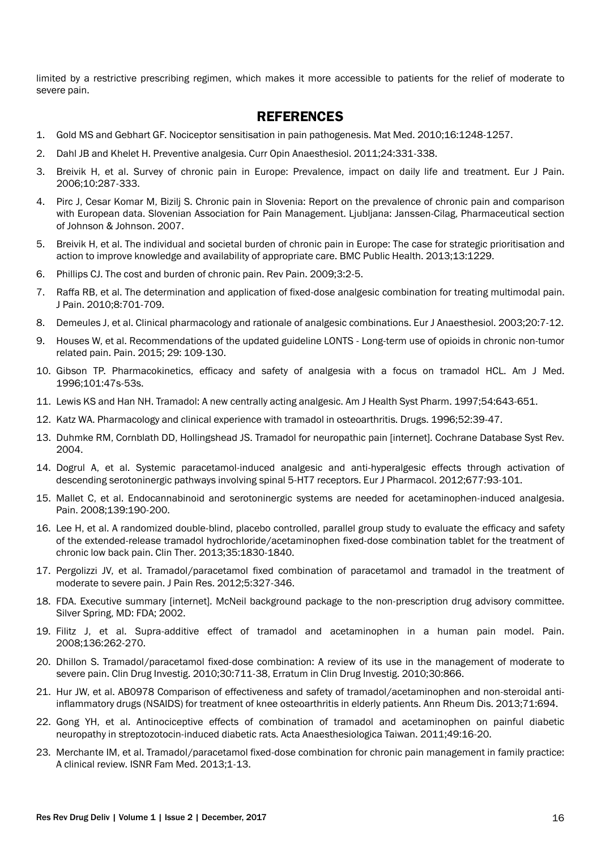limited by a restrictive prescribing regimen, which makes it more accessible to patients for the relief of moderate to severe pain.

## **REFERENCES**

- 1. Gold MS and Gebhart GF. Nociceptor sensitisation in pain pathogenesis. Mat Med. 2010;16:1248-1257.
- 2. Dahl JB and Khelet H. Preventive analgesia. Curr Opin Anaesthesiol. 2011;24:331-338.
- 3. Breivik H, et al. Survey of chronic pain in Europe: Prevalence, impact on daily life and treatment. Eur J Pain. 2006;10:287-333.
- 4. Pirc J, Cesar Komar M, Bizilj S. Chronic pain in Slovenia: Report on the prevalence of chronic pain and comparison with European data. Slovenian Association for Pain Management. Ljubljana: Janssen-Cilag, Pharmaceutical section of Johnson & Johnson. 2007.
- 5. Breivik H, et al. The individual and societal burden of chronic pain in Europe: The case for strategic prioritisation and action to improve knowledge and availability of appropriate care. BMC Public Health. 2013;13:1229.
- 6. Phillips CJ. The cost and burden of chronic pain. Rev Pain. 2009;3:2-5.
- 7. Raffa RB, et al. The determination and application of fixed-dose analgesic combination for treating multimodal pain. J Pain. 2010;8:701-709.
- 8. Demeules J, et al. Clinical pharmacology and rationale of analgesic combinations. Eur J Anaesthesiol. 2003;20:7-12.
- 9. Houses W, et al. Recommendations of the updated guideline LONTS Long-term use of opioids in chronic non-tumor related pain. Pain. 2015; 29: 109-130.
- 10. Gibson TP. Pharmacokinetics, efficacy and safety of analgesia with a focus on tramadol HCL. Am J Med. 1996;101:47s-53s.
- 11. Lewis KS and Han NH. Tramadol: A new centrally acting analgesic. Am J Health Syst Pharm. 1997;54:643-651.
- 12. Katz WA. Pharmacology and clinical experience with tramadol in osteoarthritis. Drugs. 1996;52:39-47.
- 13. Duhmke RM, Cornblath DD, Hollingshead JS. Tramadol for neuropathic pain [internet]. Cochrane Database Syst Rev. 2004.
- 14. Dogrul A, et al. Systemic paracetamol-induced analgesic and anti-hyperalgesic effects through activation of descending serotoninergic pathways involving spinal 5-HT7 receptors. Eur J Pharmacol. 2012;677:93-101.
- 15. Mallet C, et al. Endocannabinoid and serotoninergic systems are needed for acetaminophen-induced analgesia. Pain. 2008;139:190-200.
- 16. Lee H, et al. A randomized double-blind, placebo controlled, parallel group study to evaluate the efficacy and safety of the extended-release tramadol hydrochloride/acetaminophen fixed-dose combination tablet for the treatment of chronic low back pain. Clin Ther. 2013;35:1830-1840.
- 17. Pergolizzi JV, et al. Tramadol/paracetamol fixed combination of paracetamol and tramadol in the treatment of moderate to severe pain. J Pain Res. 2012;5:327-346.
- 18. FDA. Executive summary [internet]. McNeil background package to the non-prescription drug advisory committee. Silver Spring, MD: FDA; 2002.
- 19. Filitz J, et al. Supra-additive effect of tramadol and acetaminophen in a human pain model. Pain. 2008;136:262-270.
- 20. Dhillon S. Tramadol/paracetamol fixed-dose combination: A review of its use in the management of moderate to severe pain. Clin Drug Investig. 2010;30:711-38, Erratum in Clin Drug Investig. 2010;30:866.
- 21. Hur JW, et al. AB0978 Comparison of effectiveness and safety of tramadol/acetaminophen and non-steroidal antiinflammatory drugs (NSAIDS) for treatment of knee osteoarthritis in elderly patients. Ann Rheum Dis. 2013;71:694.
- 22. Gong YH, et al. Antinociceptive effects of combination of tramadol and acetaminophen on painful diabetic neuropathy in streptozotocin-induced diabetic rats. Acta Anaesthesiologica Taiwan. 2011;49:16-20.
- 23. Merchante IM, et al. Tramadol/paracetamol fixed-dose combination for chronic pain management in family practice: A clinical review. ISNR Fam Med. 2013;1-13.